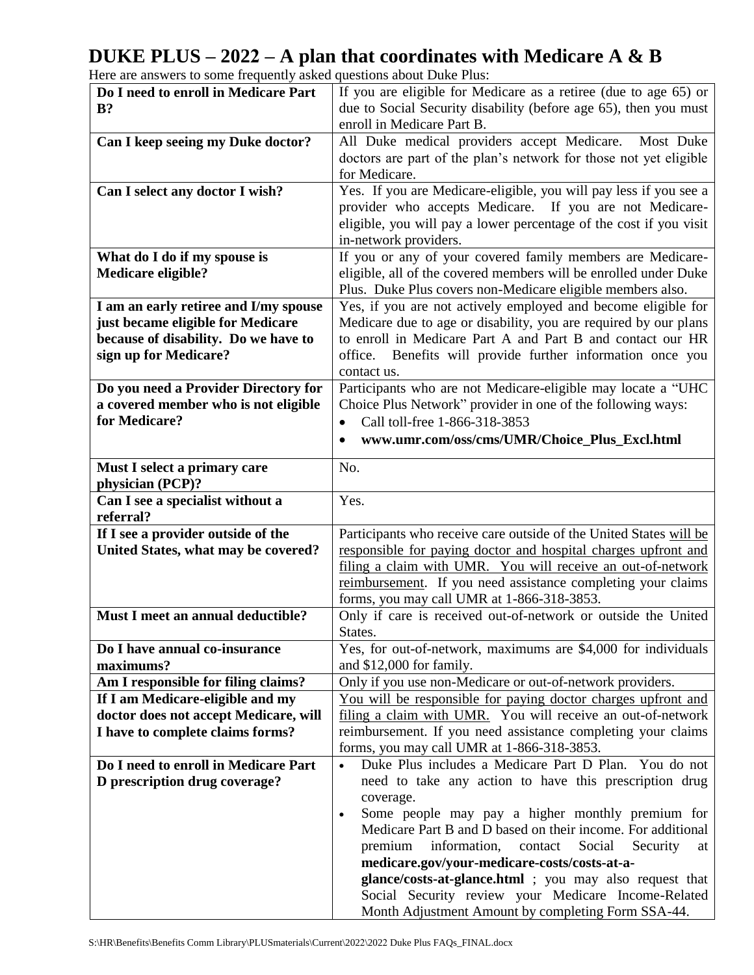## **DUKE PLUS – 2022 – A plan that coordinates with Medicare A & B**

| Do I need to enroll in Medicare Part  | If you are eligible for Medicare as a retiree (due to age 65) or                                          |
|---------------------------------------|-----------------------------------------------------------------------------------------------------------|
| $B$ ?                                 | due to Social Security disability (before age 65), then you must                                          |
|                                       |                                                                                                           |
|                                       | enroll in Medicare Part B.                                                                                |
| Can I keep seeing my Duke doctor?     | All Duke medical providers accept Medicare.<br>Most Duke                                                  |
|                                       | doctors are part of the plan's network for those not yet eligible                                         |
|                                       | for Medicare.                                                                                             |
|                                       |                                                                                                           |
| Can I select any doctor I wish?       | Yes. If you are Medicare-eligible, you will pay less if you see a                                         |
|                                       | provider who accepts Medicare. If you are not Medicare-                                                   |
|                                       | eligible, you will pay a lower percentage of the cost if you visit                                        |
|                                       | in-network providers.                                                                                     |
| What do I do if my spouse is          | If you or any of your covered family members are Medicare-                                                |
|                                       |                                                                                                           |
| <b>Medicare eligible?</b>             | eligible, all of the covered members will be enrolled under Duke                                          |
|                                       | Plus. Duke Plus covers non-Medicare eligible members also.                                                |
| I am an early retiree and I/my spouse | Yes, if you are not actively employed and become eligible for                                             |
| just became eligible for Medicare     | Medicare due to age or disability, you are required by our plans                                          |
| because of disability. Do we have to  | to enroll in Medicare Part A and Part B and contact our HR                                                |
| sign up for Medicare?                 | office. Benefits will provide further information once you                                                |
|                                       |                                                                                                           |
|                                       | contact us.                                                                                               |
| Do you need a Provider Directory for  | Participants who are not Medicare-eligible may locate a "UHC                                              |
| a covered member who is not eligible  | Choice Plus Network" provider in one of the following ways:                                               |
| for Medicare?                         | Call toll-free 1-866-318-3853<br>$\bullet$                                                                |
|                                       | www.umr.com/oss/cms/UMR/Choice_Plus_Excl.html                                                             |
|                                       |                                                                                                           |
| Must I select a primary care          | No.                                                                                                       |
| physician (PCP)?                      |                                                                                                           |
| Can I see a specialist without a      | Yes.                                                                                                      |
|                                       |                                                                                                           |
|                                       |                                                                                                           |
| referral?                             |                                                                                                           |
| If I see a provider outside of the    | Participants who receive care outside of the United States will be                                        |
| United States, what may be covered?   | responsible for paying doctor and hospital charges upfront and                                            |
|                                       | filing a claim with UMR. You will receive an out-of-network                                               |
|                                       |                                                                                                           |
|                                       | reimbursement. If you need assistance completing your claims                                              |
|                                       | forms, you may call UMR at 1-866-318-3853.                                                                |
| Must I meet an annual deductible?     | Only if care is received out-of-network or outside the United                                             |
|                                       | States.                                                                                                   |
| Do I have annual co-insurance         | Yes, for out-of-network, maximums are \$4,000 for individuals                                             |
| maximums?                             | and \$12,000 for family.                                                                                  |
| Am I responsible for filing claims?   | Only if you use non-Medicare or out-of-network providers.                                                 |
| If I am Medicare-eligible and my      | <u>You will be responsible for paying doctor charges upfront and</u>                                      |
|                                       |                                                                                                           |
| doctor does not accept Medicare, will | filing a claim with UMR. You will receive an out-of-network                                               |
| I have to complete claims forms?      | reimbursement. If you need assistance completing your claims                                              |
|                                       | forms, you may call UMR at 1-866-318-3853.                                                                |
| Do I need to enroll in Medicare Part  | Duke Plus includes a Medicare Part D Plan. You do not                                                     |
| D prescription drug coverage?         | need to take any action to have this prescription drug                                                    |
|                                       | coverage.                                                                                                 |
|                                       | Some people may pay a higher monthly premium for<br>$\bullet$                                             |
|                                       |                                                                                                           |
|                                       | Medicare Part B and D based on their income. For additional                                               |
|                                       | premium<br>information,<br>Social<br>contact<br>Security<br>at                                            |
|                                       | medicare.gov/your-medicare-costs/costs-at-a-                                                              |
|                                       | glance/costs-at-glance.html ; you may also request that                                                   |
|                                       | Social Security review your Medicare Income-Related<br>Month Adjustment Amount by completing Form SSA-44. |

Here are answers to some frequently asked questions about Duke Plus: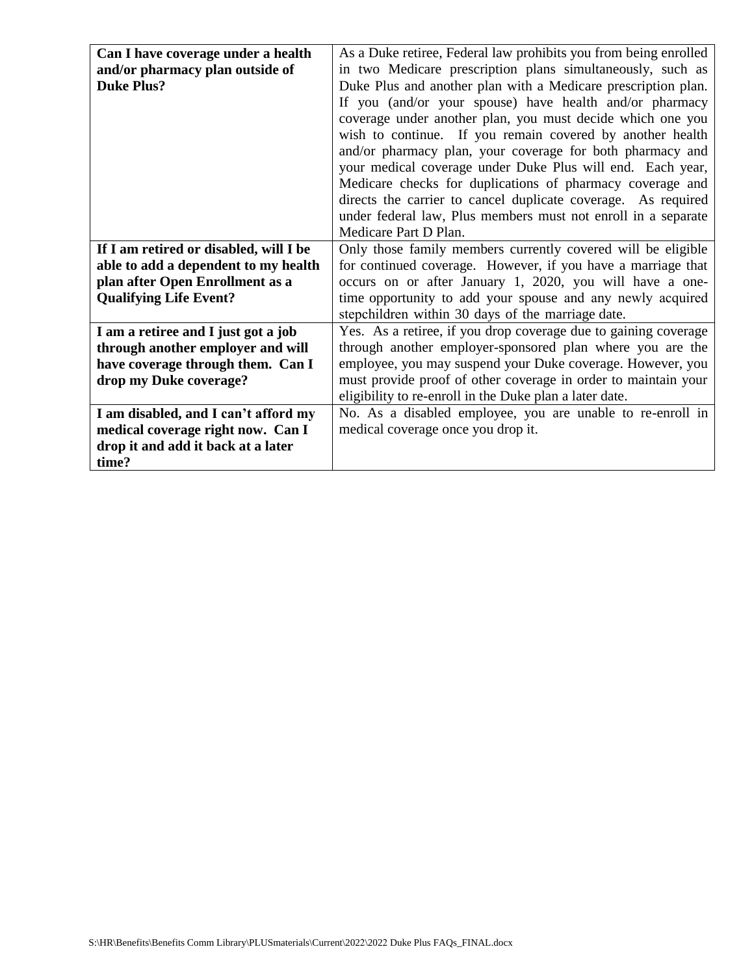| Can I have coverage under a health     | As a Duke retiree, Federal law prohibits you from being enrolled |
|----------------------------------------|------------------------------------------------------------------|
| and/or pharmacy plan outside of        | in two Medicare prescription plans simultaneously, such as       |
| <b>Duke Plus?</b>                      | Duke Plus and another plan with a Medicare prescription plan.    |
|                                        | If you (and/or your spouse) have health and/or pharmacy          |
|                                        | coverage under another plan, you must decide which one you       |
|                                        | wish to continue. If you remain covered by another health        |
|                                        | and/or pharmacy plan, your coverage for both pharmacy and        |
|                                        | your medical coverage under Duke Plus will end. Each year,       |
|                                        | Medicare checks for duplications of pharmacy coverage and        |
|                                        | directs the carrier to cancel duplicate coverage. As required    |
|                                        | under federal law, Plus members must not enroll in a separate    |
|                                        | Medicare Part D Plan.                                            |
| If I am retired or disabled, will I be | Only those family members currently covered will be eligible     |
|                                        |                                                                  |
| able to add a dependent to my health   | for continued coverage. However, if you have a marriage that     |
| plan after Open Enrollment as a        | occurs on or after January 1, 2020, you will have a one-         |
| <b>Qualifying Life Event?</b>          | time opportunity to add your spouse and any newly acquired       |
|                                        | stepchildren within 30 days of the marriage date.                |
| I am a retiree and I just got a job    | Yes. As a retiree, if you drop coverage due to gaining coverage  |
| through another employer and will      | through another employer-sponsored plan where you are the        |
| have coverage through them. Can I      | employee, you may suspend your Duke coverage. However, you       |
| drop my Duke coverage?                 | must provide proof of other coverage in order to maintain your   |
|                                        | eligibility to re-enroll in the Duke plan a later date.          |
| I am disabled, and I can't afford my   | No. As a disabled employee, you are unable to re-enroll in       |
| medical coverage right now. Can I      | medical coverage once you drop it.                               |
| drop it and add it back at a later     |                                                                  |
| time?                                  |                                                                  |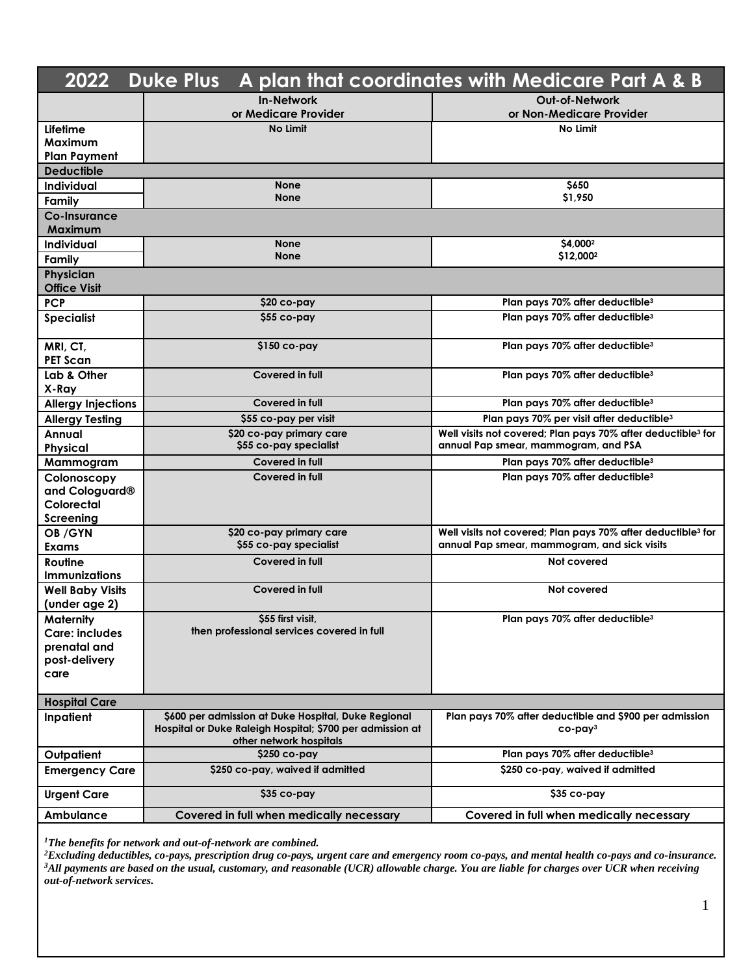| <b>Duke Plus</b><br>A plan that coordinates with Medicare Part A & B<br>2022 |                                                                                      |                                                                                                                          |  |  |
|------------------------------------------------------------------------------|--------------------------------------------------------------------------------------|--------------------------------------------------------------------------------------------------------------------------|--|--|
|                                                                              | <b>In-Network</b>                                                                    | Out-of-Network                                                                                                           |  |  |
|                                                                              | or Medicare Provider                                                                 | or Non-Medicare Provider                                                                                                 |  |  |
| Lifetime                                                                     | No Limit                                                                             | No Limit                                                                                                                 |  |  |
| <b>Maximum</b>                                                               |                                                                                      |                                                                                                                          |  |  |
| <b>Plan Payment</b>                                                          |                                                                                      |                                                                                                                          |  |  |
| <b>Deductible</b><br>Individual                                              | <b>None</b>                                                                          | \$650                                                                                                                    |  |  |
| Family                                                                       | <b>None</b>                                                                          | \$1,950                                                                                                                  |  |  |
| Co-Insurance                                                                 |                                                                                      |                                                                                                                          |  |  |
| Maximum                                                                      |                                                                                      |                                                                                                                          |  |  |
| Individual                                                                   | <b>None</b>                                                                          | \$4,0002                                                                                                                 |  |  |
| Family                                                                       | <b>None</b>                                                                          | \$12,0002                                                                                                                |  |  |
| Physician                                                                    |                                                                                      |                                                                                                                          |  |  |
| <b>Office Visit</b>                                                          |                                                                                      |                                                                                                                          |  |  |
| <b>PCP</b>                                                                   | \$20 co-pay                                                                          | Plan pays 70% after deductible <sup>3</sup>                                                                              |  |  |
| <b>Specialist</b>                                                            | \$55 co-pay                                                                          | Plan pays 70% after deductible <sup>3</sup>                                                                              |  |  |
| MRI, CT,                                                                     | $$150$ co-pay                                                                        | Plan pays 70% after deductible <sup>3</sup>                                                                              |  |  |
| <b>PET Scan</b>                                                              |                                                                                      |                                                                                                                          |  |  |
| Lab & Other                                                                  | Covered in full                                                                      | Plan pays 70% after deductible <sup>3</sup>                                                                              |  |  |
| X-Ray<br><b>Allergy Injections</b>                                           | Covered in full                                                                      | Plan pays 70% after deductible <sup>3</sup>                                                                              |  |  |
|                                                                              | \$55 co-pay per visit                                                                | Plan pays 70% per visit after deductible <sup>3</sup>                                                                    |  |  |
| <b>Allergy Testing</b><br>Annual                                             | \$20 co-pay primary care                                                             | Well visits not covered; Plan pays 70% after deductible <sup>3</sup> for                                                 |  |  |
| Physical                                                                     | \$55 co-pay specialist                                                               | annual Pap smear, mammogram, and PSA                                                                                     |  |  |
| Mammogram                                                                    | Covered in full                                                                      | Plan pays 70% after deductible <sup>3</sup>                                                                              |  |  |
| Colonoscopy                                                                  | Covered in full                                                                      | Plan pays 70% after deductible <sup>3</sup>                                                                              |  |  |
| and Cologuard <sup>®</sup>                                                   |                                                                                      |                                                                                                                          |  |  |
| Colorectal                                                                   |                                                                                      |                                                                                                                          |  |  |
| Screening                                                                    |                                                                                      |                                                                                                                          |  |  |
| OB/GYN<br>Exams                                                              | \$20 co-pay primary care<br>\$55 co-pay specialist                                   | Well visits not covered; Plan pays 70% after deductible <sup>3</sup> for<br>annual Pap smear, mammogram, and sick visits |  |  |
| Routine                                                                      | Covered in full                                                                      | Not covered                                                                                                              |  |  |
| <b>Immunizations</b>                                                         |                                                                                      |                                                                                                                          |  |  |
| <b>Well Baby Visits</b>                                                      | Covered in full                                                                      | Not covered                                                                                                              |  |  |
| (under age 2)                                                                |                                                                                      |                                                                                                                          |  |  |
| Maternity                                                                    | \$55 first visit,                                                                    | Plan pays 70% after deductible <sup>3</sup>                                                                              |  |  |
| <b>Care: includes</b>                                                        | then professional services covered in full                                           |                                                                                                                          |  |  |
| prenatal and                                                                 |                                                                                      |                                                                                                                          |  |  |
| post-delivery                                                                |                                                                                      |                                                                                                                          |  |  |
| care                                                                         |                                                                                      |                                                                                                                          |  |  |
| <b>Hospital Care</b>                                                         |                                                                                      |                                                                                                                          |  |  |
| Inpatient                                                                    | \$600 per admission at Duke Hospital, Duke Regional                                  | Plan pays 70% after deductible and \$900 per admission                                                                   |  |  |
|                                                                              | Hospital or Duke Raleigh Hospital; \$700 per admission at<br>other network hospitals | $co$ -pay $3$                                                                                                            |  |  |
| Outpatient                                                                   | \$250 co-pay                                                                         | Plan pays 70% after deductible <sup>3</sup>                                                                              |  |  |
| <b>Emergency Care</b>                                                        | \$250 co-pay, waived if admitted                                                     | \$250 co-pay, waived if admitted                                                                                         |  |  |
| <b>Urgent Care</b>                                                           | \$35 co-pay                                                                          | \$35 co-pay                                                                                                              |  |  |
| Ambulance                                                                    | Covered in full when medically necessary                                             | Covered in full when medically necessary                                                                                 |  |  |

<sup>1</sup>The benefits for network and out-of-network are combined.

<sup>3</sup>All payments are based on the usual, customary, and reasonable (UCR) allowable charge. You are liable for charges over UCR when receiving <sup>1</sup>The benefits for network and out-of-network are combined.<br><sup>2</sup>Excluding deductibles, co-pays, prescription drug co-pays, urgent care and emergency room co-pays, and mental health co-pays and co-insurance.<br><sup>3</sup>All payments *out-of-network services.*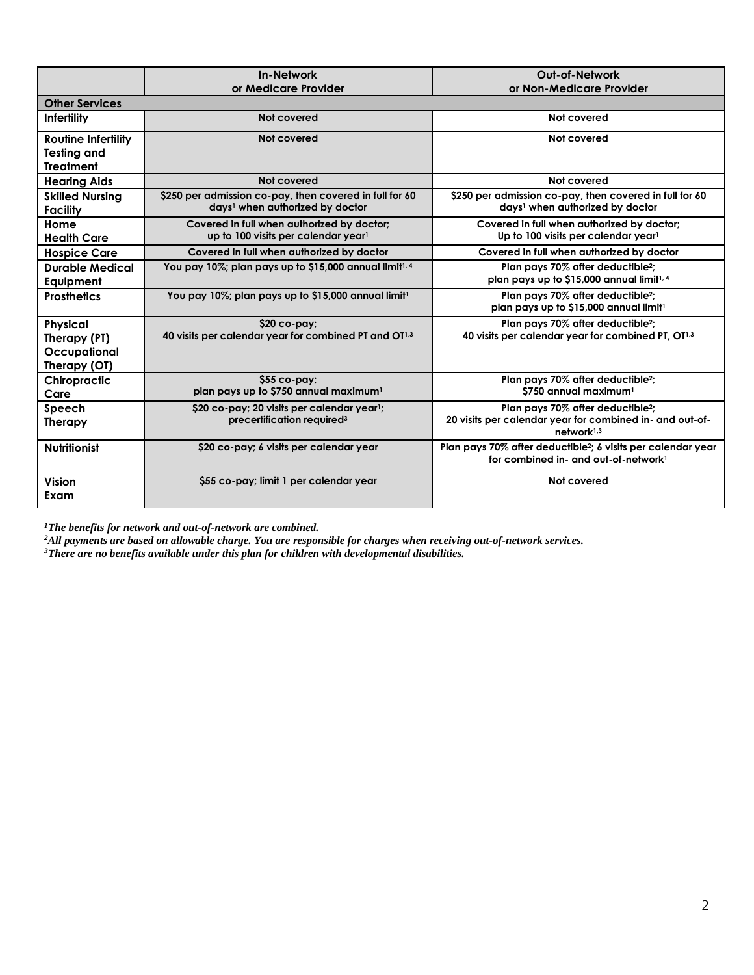|                                                                      | <b>In-Network</b><br>or Medicare Provider                                                              | <b>Out-of-Network</b><br>or Non-Medicare Provider                                                                                   |  |
|----------------------------------------------------------------------|--------------------------------------------------------------------------------------------------------|-------------------------------------------------------------------------------------------------------------------------------------|--|
| <b>Other Services</b>                                                |                                                                                                        |                                                                                                                                     |  |
| Infertility                                                          | Not covered                                                                                            | Not covered                                                                                                                         |  |
| <b>Routine Infertility</b><br><b>Testing and</b><br><b>Treatment</b> | Not covered                                                                                            | Not covered                                                                                                                         |  |
| <b>Hearing Aids</b>                                                  | Not covered                                                                                            | Not covered                                                                                                                         |  |
| <b>Skilled Nursing</b><br>Facility                                   | \$250 per admission co-pay, then covered in full for 60<br>days <sup>1</sup> when authorized by doctor | \$250 per admission co-pay, then covered in full for 60<br>days <sup>1</sup> when authorized by doctor                              |  |
| Home<br><b>Health Care</b>                                           | Covered in full when authorized by doctor;<br>up to 100 visits per calendar year <sup>1</sup>          | Covered in full when authorized by doctor;<br>Up to 100 visits per calendar year1                                                   |  |
| <b>Hospice Care</b>                                                  | Covered in full when authorized by doctor<br>Covered in full when authorized by doctor                 |                                                                                                                                     |  |
| <b>Durable Medical</b><br>Equipment                                  | You pay 10%; plan pays up to \$15,000 annual limit <sup>1, 4</sup>                                     | Plan pays 70% after deductible <sup>2</sup> :<br>plan pays up to \$15,000 annual limit <sup>1,4</sup>                               |  |
| <b>Prosthetics</b>                                                   | You pay 10%; plan pays up to \$15,000 annual limit <sup>1</sup>                                        | Plan pays 70% after deductible <sup>2</sup> :<br>plan pays up to \$15,000 annual limit <sup>1</sup>                                 |  |
| <b>Physical</b><br>Therapy (PT)<br>Occupational<br>Therapy (OT)      | \$20 co-pay;<br>40 visits per calendar year for combined PT and OT <sup>1,3</sup>                      | Plan pays 70% after deductible <sup>2</sup> :<br>40 visits per calendar year for combined PT, OT1,3                                 |  |
| Chiropractic<br>Care                                                 | \$55 co-pay;<br>plan pays up to \$750 annual maximum <sup>1</sup>                                      | Plan pays 70% after deductible <sup>2</sup> ;<br>\$750 annual maximum <sup>1</sup>                                                  |  |
| Speech<br><b>Therapy</b>                                             | \$20 co-pay; 20 visits per calendar year <sup>1</sup> ;<br>precertification required <sup>3</sup>      | Plan pays 70% after deductible <sup>2</sup> ;<br>20 visits per calendar year for combined in- and out-of-<br>network <sup>1,3</sup> |  |
| <b>Nutritionist</b>                                                  | \$20 co-pay; 6 visits per calendar year                                                                | Plan pays 70% after deductible <sup>2</sup> ; 6 visits per calendar year<br>for combined in- and out-of-network <sup>1</sup>        |  |
| <b>Vision</b><br>Exam                                                | \$55 co-pay; limit 1 per calendar year                                                                 | Not covered                                                                                                                         |  |

<sup>1</sup>The benefits for network and out-of-network are combined.

<sup>1</sup>The benefits for network and out-of-network are combined.<br><sup>2</sup>All payments are based on allowable charge. You are responsible for charges when receiving out-of-network services.<br><sup>3</sup>There are no benefits available under t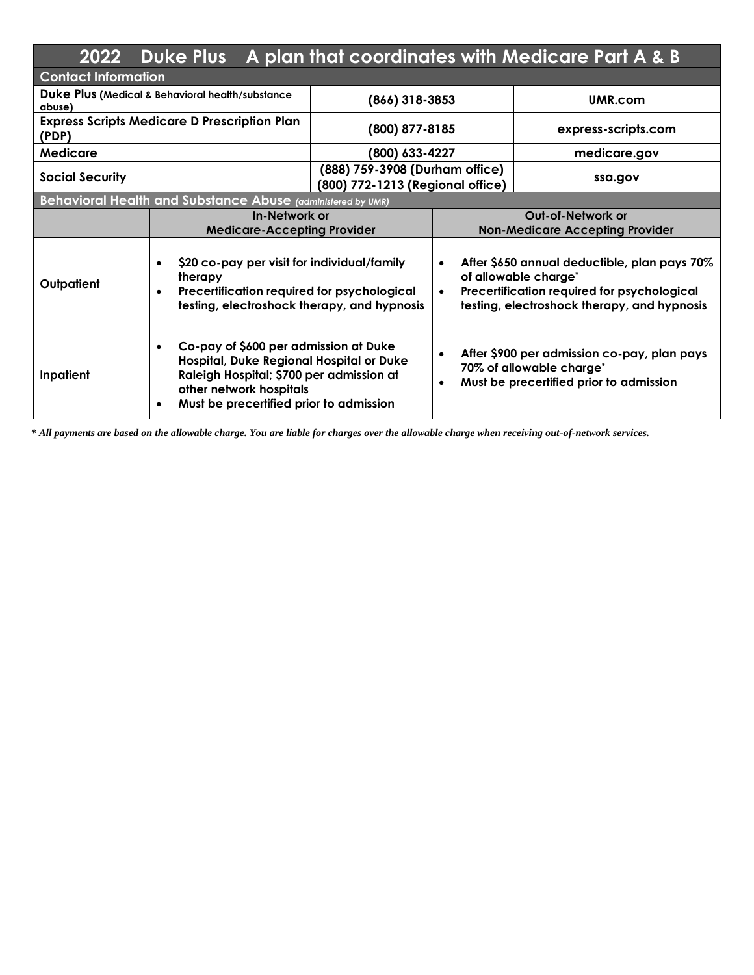| 2022                                                       | <b>Duke Plus</b>                                                                                                                                                                                                 |                                                                    |                                                                                                                                                                                              | A plan that coordinates with Medicare Part A & B                                                                   |
|------------------------------------------------------------|------------------------------------------------------------------------------------------------------------------------------------------------------------------------------------------------------------------|--------------------------------------------------------------------|----------------------------------------------------------------------------------------------------------------------------------------------------------------------------------------------|--------------------------------------------------------------------------------------------------------------------|
| <b>Contact Information</b>                                 |                                                                                                                                                                                                                  |                                                                    |                                                                                                                                                                                              |                                                                                                                    |
| Duke Plus (Medical & Behavioral health/substance<br>abuse) |                                                                                                                                                                                                                  | $(866)$ 318-3853                                                   |                                                                                                                                                                                              | UMR.com                                                                                                            |
| (PDP)                                                      | <b>Express Scripts Medicare D Prescription Plan</b>                                                                                                                                                              | (800) 877-8185                                                     |                                                                                                                                                                                              | express-scripts.com                                                                                                |
| Medicare                                                   |                                                                                                                                                                                                                  | (800) 633-4227                                                     |                                                                                                                                                                                              | medicare.gov                                                                                                       |
| <b>Social Security</b>                                     |                                                                                                                                                                                                                  | (888) 759-3908 (Durham office)<br>(800) 772-1213 (Regional office) |                                                                                                                                                                                              | ssa.gov                                                                                                            |
|                                                            | Behavioral Health and Substance Abuse (administered by UMR)                                                                                                                                                      |                                                                    |                                                                                                                                                                                              |                                                                                                                    |
|                                                            | In-Network or<br><b>Medicare-Accepting Provider</b>                                                                                                                                                              |                                                                    | <b>Out-of-Network or</b><br><b>Non-Medicare Accepting Provider</b>                                                                                                                           |                                                                                                                    |
| Outpatient                                                 | \$20 co-pay per visit for individual/family<br>$\bullet$<br>therapy<br>Precertification required for psychological<br>testing, electroshock therapy, and hypnosis                                                |                                                                    | After \$650 annual deductible, plan pays 70%<br>$\bullet$<br>of allowable charge*<br>Precertification required for psychological<br>$\bullet$<br>testing, electroshock therapy, and hypnosis |                                                                                                                    |
| Inpatient                                                  | Co-pay of \$600 per admission at Duke<br>$\bullet$<br>Hospital, Duke Regional Hospital or Duke<br>Raleigh Hospital; \$700 per admission at<br>other network hospitals<br>Must be precertified prior to admission |                                                                    | $\bullet$<br>$\bullet$                                                                                                                                                                       | After \$900 per admission co-pay, plan pays<br>70% of allowable charge*<br>Must be precertified prior to admission |

 *\* All payments are based on the allowable charge. You are liable for charges over the allowable charge when receiving out-of-network services.*